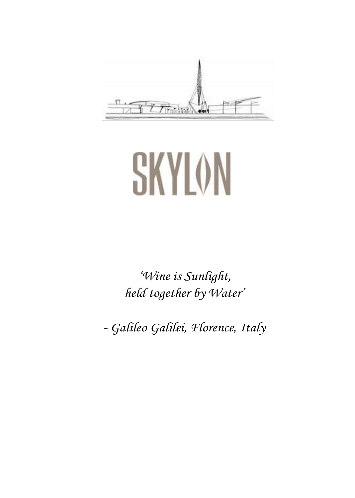

# **SKYLON**

*'Wine is Sunlight, held together by Water'* 

*- Galileo Galilei, Florence, Italy*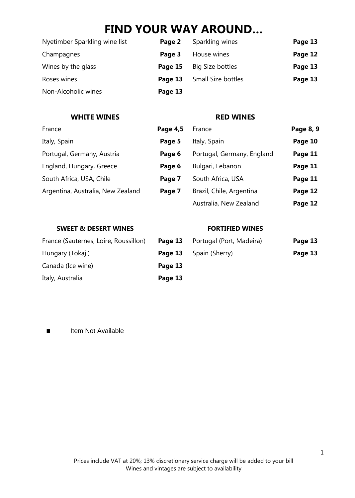# **FIND YOUR WAY AROUND…**

| Nyetimber Sparkling wine list | Page 2  | Sparkling wines    | Page 13 |
|-------------------------------|---------|--------------------|---------|
| Champagnes                    | Page 3  | House wines        | Page 12 |
| Wines by the glass            | Page 15 | Big Size bottles   | Page 13 |
| Roses wines                   | Page 13 | Small Size bottles | Page 13 |
| Non-Alcoholic wines           | Page 13 |                    |         |

#### **WHITE WINES RED WINES**

| France                            | Page 4,5 | France                     | Page 8, 9 |
|-----------------------------------|----------|----------------------------|-----------|
| Italy, Spain                      | Page 5   | Italy, Spain               | Page 10   |
| Portugal, Germany, Austria        | Page 6   | Portugal, Germany, England | Page 11   |
| England, Hungary, Greece          | Page 6   | Bulgari, Lebanon           | Page 11   |
| South Africa, USA, Chile          | Page 7   | South Africa, USA          | Page 11   |
| Argentina, Australia, New Zealand | Page 7   | Brazil, Chile, Argentina   | Page 12   |
|                                   |          | Australia, New Zealand     | Page 12   |

#### **SWEET & DESERT WINES FORTIFIED WINES**

| ge 13 | Portugal (Port, Madeira)    | Page 13 |
|-------|-----------------------------|---------|
|       | <b>ge 13</b> Spain (Sherry) | Page 13 |

France (Sauternes, Loire, Roussillon) **Page** Hungary (Tokaji) **Page 13** Canada (Ice wine) **Page 13** Italy, Australia **Page 13**

**Example 1** Item Not Available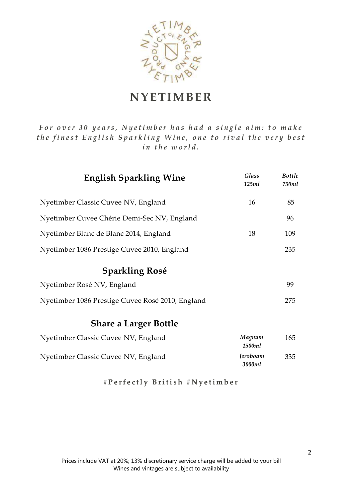

# **NYETIMBER**

*For over 30 years, Nyetimber has had a single aim: to make the finest English Sparkling Wine, one to rival the very best in the world.* 

| <b>English Sparkling Wine</b>                    | Glass<br>125ml     | <b>Bottle</b><br>750ml |
|--------------------------------------------------|--------------------|------------------------|
| Nyetimber Classic Cuvee NV, England              | 16                 | 85                     |
| Nyetimber Cuvee Chérie Demi-Sec NV, England      |                    | 96                     |
| Nyetimber Blanc de Blanc 2014, England           | 18                 | 109                    |
| Nyetimber 1086 Prestige Cuvee 2010, England      |                    | 235                    |
| <b>Sparkling Rosé</b>                            |                    |                        |
| Nyetimber Rosé NV, England                       |                    | 99                     |
| Nyetimber 1086 Prestige Cuvee Rosé 2010, England |                    | 275                    |
| <b>Share a Larger Bottle</b>                     |                    |                        |
| Nyetimber Classic Cuvee NV, England              | Magnum<br>1500ml   | 165                    |
| Nyetimber Classic Cuvee NV, England              | Jeroboam<br>3000ml | 335                    |

**# P e r f e c t l y B r i t i s h # N y e t i m b e r**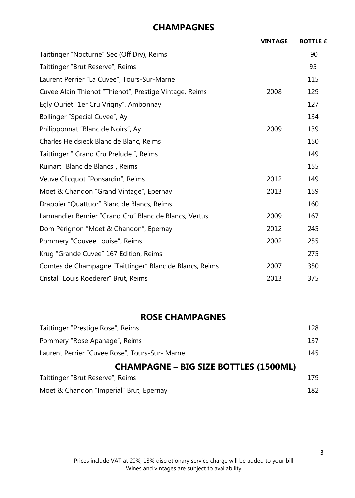## **CHAMPAGNES**

| <b>VINTAGE</b> | <b>BOTTLE £</b> |
|----------------|-----------------|
|                | 90              |
|                | 95              |
|                | 115             |
| 2008           | 129             |
|                | 127             |
|                | 134             |
| 2009           | 139             |
|                | 150             |
|                | 149             |
|                | 155             |
| 2012           | 149             |
| 2013           | 159             |
|                | 160             |
| 2009           | 167             |
| 2012           | 245             |
| 2002           | 255             |
|                | 275             |
| 2007           | 350             |
| 2013           | 375             |
|                |                 |

#### **ROSE CHAMPAGNES**

| Taittinger "Brut Reserve", Reims               | 179. |
|------------------------------------------------|------|
| <b>CHAMPAGNE – BIG SIZE BOTTLES (1500ML)</b>   |      |
| Laurent Perrier "Cuvee Rose", Tours-Sur- Marne | 145  |
| Pommery "Rose Apanage", Reims                  | 137  |
| Taittinger "Prestige Rose", Reims              | 128  |

| Moet & Chandon "Imperial" Brut, Epernay | 182 |
|-----------------------------------------|-----|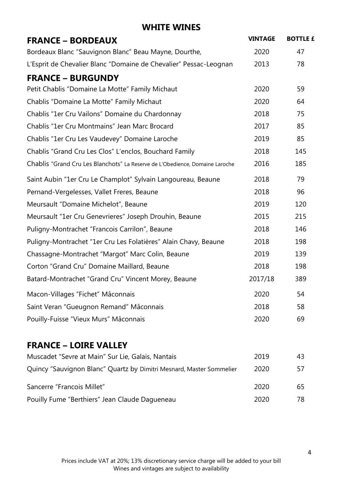| <b>FRANCE - BORDEAUX</b>                                                     | <b>VINTAGE</b> | <b>BOTTLE £</b> |
|------------------------------------------------------------------------------|----------------|-----------------|
| Bordeaux Blanc "Sauvignon Blanc" Beau Mayne, Dourthe,                        | 2020           | 47              |
| L'Esprit de Chevalier Blanc "Domaine de Chevalier" Pessac-Leognan            | 2013           | 78              |
| <b>FRANCE - BURGUNDY</b>                                                     |                |                 |
| Petit Chablis "Domaine La Motte" Family Michaut                              | 2020           | 59              |
| Chablis "Domaine La Motte" Family Michaut                                    | 2020           | 64              |
| Chablis "1er Cru Vailons" Domaine du Chardonnay                              | 2018           | 75              |
| Chablis "1er Cru Montmains" Jean Marc Brocard                                | 2017           | 85              |
| Chablis "1er Cru Les Vaudevey" Domaine Laroche                               | 2019           | 85              |
| Chablis "Grand Cru Les Clos" L'enclos, Bouchard Family                       | 2018           | 145             |
| Chablis "Grand Cru Les Blanchots" La Reserve de L'Obedience, Domaine Laroche | 2016           | 185             |
| Saint Aubin "1er Cru Le Champlot" Sylvain Langoureau, Beaune                 | 2018           | 79              |
| Pernand-Vergelesses, Vallet Freres, Beaune                                   | 2018           | 96              |
| Meursault "Domaine Michelot", Beaune                                         | 2019           | 120             |
| Meursault "1er Cru Genevrieres" Joseph Drouhin, Beaune                       | 2015           | 215             |
| Puligny-Montrachet "Francois Carrilon", Beaune                               | 2018           | 146             |
| Puligny-Montrachet "1er Cru Les Folatières" Alain Chavy, Beaune              | 2018           | 198             |
| Chassagne-Montrachet "Margot" Marc Colin, Beaune                             | 2019           | 139             |
| Corton "Grand Cru" Domaine Maillard, Beaune                                  | 2018           | 198             |
| Batard-Montrachet "Grand Cru" Vincent Morey, Beaune                          | 2017/18        | 389             |
| Macon-Villages "Fichet" Mâconnais                                            | 2020           | 54              |
| Saint Veran "Gueugnon Remand" Mâconnais                                      | 2018           | 58              |
| Pouilly-Fuisse "Vieux Murs" Mâconnais                                        | 2020           | 69              |
| <b>FRANCE - LOIRE VALLEY</b>                                                 |                |                 |
|                                                                              |                |                 |

| Muscadet "Sevre at Main" Sur Lie, Galais, Nantais                    | 2019 | 43 |
|----------------------------------------------------------------------|------|----|
| Quincy "Sauvignon Blanc" Quartz by Dimitri Mesnard, Master Sommelier | 2020 | 57 |
| Sancerre "Francois Millet"                                           | 2020 | 65 |
| Pouilly Fume "Berthiers" Jean Claude Dagueneau                       | 2020 | 78 |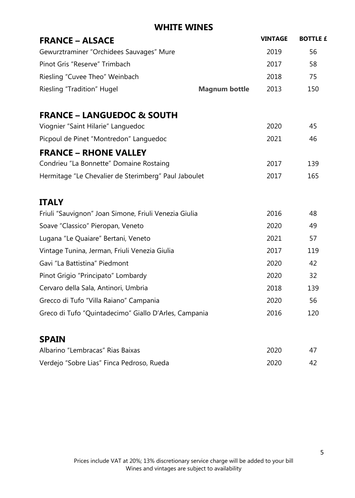| <b>FRANCE - ALSACE</b>                                |                      | <b>VINTAGE</b> | <b>BOTTLE £</b> |
|-------------------------------------------------------|----------------------|----------------|-----------------|
| Gewurztraminer "Orchidees Sauvages" Mure              |                      | 2019           | 56              |
| Pinot Gris "Reserve" Trimbach                         |                      | 2017           | 58              |
| Riesling "Cuvee Theo" Weinbach                        |                      | 2018           | 75              |
| Riesling "Tradition" Hugel                            | <b>Magnum bottle</b> | 2013           | 150             |
| <b>FRANCE - LANGUEDOC &amp; SOUTH</b>                 |                      |                |                 |
| Viognier "Saint Hilarie" Languedoc                    |                      | 2020           | 45              |
| Picpoul de Pinet "Montredon" Languedoc                |                      | 2021           | 46              |
| <b>FRANCE - RHONE VALLEY</b>                          |                      |                |                 |
| Condrieu "La Bonnette" Domaine Rostaing               |                      | 2017           | 139             |
| Hermitage "Le Chevalier de Sterimberg" Paul Jaboulet  |                      | 2017           | 165             |
| <b>ITALY</b>                                          |                      |                |                 |
| Friuli "Sauvignon" Joan Simone, Friuli Venezia Giulia |                      | 2016           | 48              |
| Soave "Classico" Pieropan, Veneto                     |                      | 2020           | 49              |
| Lugana "Le Quaiare" Bertani, Veneto                   |                      | 2021           | 57              |
| Vintage Tunina, Jerman, Friuli Venezia Giulia         |                      | 2017           | 119             |
| Gavi "La Battistina" Piedmont                         |                      | 2020           | 42              |
| Pinot Grigio "Principato" Lombardy                    |                      | 2020           | 32              |
| Cervaro della Sala, Antinori, Umbria                  |                      | 2018           | 139             |
| Grecco di Tufo "Villa Raiano" Campania                |                      | 2020           | 56              |
| Greco di Tufo "Quintadecimo" Giallo D'Arles, Campania |                      | 2016           | 120             |
| <b>SPAIN</b>                                          |                      |                |                 |
| Albarino "Lembracas" Rias Baixas                      |                      | 2020           | 47              |
| Verdejo "Sobre Lias" Finca Pedroso, Rueda             |                      | 2020           | 42              |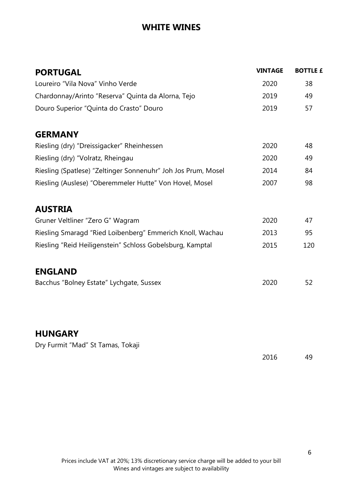| <b>PORTUGAL</b>                                               | <b>VINTAGE</b> | <b>BOTTLE £</b> |
|---------------------------------------------------------------|----------------|-----------------|
| Loureiro "Vila Nova" Vinho Verde                              | 2020           | 38              |
| Chardonnay/Arinto "Reserva" Quinta da Alorna, Tejo            | 2019           | 49              |
| Douro Superior "Quinta do Crasto" Douro                       | 2019           | 57              |
| <b>GERMANY</b>                                                |                |                 |
| Riesling (dry) "Dreissigacker" Rheinhessen                    | 2020           | 48              |
| Riesling (dry) "Volratz, Rheingau                             | 2020           | 49              |
| Riesling (Spatlese) "Zeltinger Sonnenuhr" Joh Jos Prum, Mosel | 2014           | 84              |
| Riesling (Auslese) "Oberemmeler Hutte" Von Hovel, Mosel       | 2007           | 98              |
| <b>AUSTRIA</b>                                                |                |                 |
| Gruner Veltliner "Zero G" Wagram                              | 2020           | 47              |
| Riesling Smaragd "Ried Loibenberg" Emmerich Knoll, Wachau     | 2013           | 95              |
| Riesling "Reid Heiligenstein" Schloss Gobelsburg, Kamptal     | 2015           | 120             |
| <b>ENGLAND</b>                                                |                |                 |
| Bacchus "Bolney Estate" Lychgate, Sussex                      | 2020           | 52              |
|                                                               |                |                 |
| <b>HUNGARY</b>                                                |                |                 |
| Dry Furmit "Mad" St Tamas, Tokaji                             |                |                 |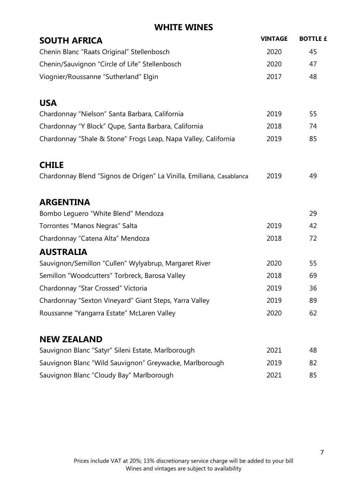| <b>SOUTH AFRICA</b>                                                  | <b>VINTAGE</b> | <b>BOTTLE £</b> |
|----------------------------------------------------------------------|----------------|-----------------|
| Chenin Blanc "Raats Original" Stellenbosch                           | 2020           | 45              |
| Chenin/Sauvignon "Circle of Life" Stellenbosch                       | 2020           | 47              |
| Viognier/Roussanne "Sutherland" Elgin                                | 2017           | 48              |
| <b>USA</b>                                                           |                |                 |
| Chardonnay "Nielson" Santa Barbara, California                       | 2019           | 55              |
| Chardonnay "Y Block" Qupe, Santa Barbara, California                 | 2018           | 74              |
| Chardonnay "Shale & Stone" Frogs Leap, Napa Valley, California       | 2019           | 85              |
| <b>CHILE</b>                                                         |                |                 |
| Chardonnay Blend "Signos de Origen" La Vinilla, Emiliana, Casablanca | 2019           | 49              |
| <b>ARGENTINA</b>                                                     |                |                 |
| Bombo Leguero "White Blend" Mendoza                                  |                | 29              |
| Torrontes "Manos Negras" Salta                                       | 2019           | 42              |
| Chardonnay "Catena Alta" Mendoza                                     | 2018           | 72              |
| <b>AUSTRALIA</b>                                                     |                |                 |
| Sauvignon/Semillon "Cullen" Wylyabrup, Margaret River                | 2020           | 55              |
| Semillon "Woodcutters" Torbreck, Barosa Valley                       | 2018           | 69              |
| Chardonnay "Star Crossed" Victoria                                   | 2019           | 36              |
| Chardonnay "Sexton Vineyard" Giant Steps, Yarra Valley               | 2019           | 89              |
| Roussanne "Yangarra Estate" McLaren Valley                           | 2020           | 62              |
| <b>NEW ZEALAND</b>                                                   |                |                 |
| Sauvignon Blanc "Satyr" Sileni Estate, Marlborough                   | 2021           | 48              |
| Sauvignon Blanc "Wild Sauvignon" Greywacke, Marlborough              | 2019           | 82              |
| Sauvignon Blanc "Cloudy Bay" Marlborough                             | 2021           | 85              |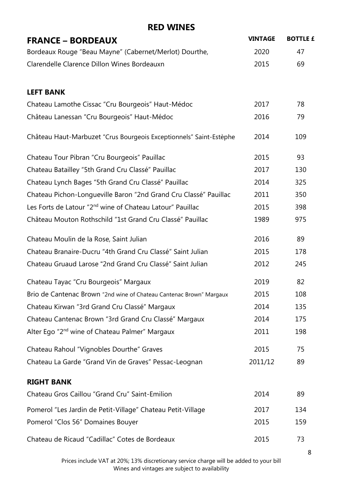| <b>FRANCE - BORDEAUX</b>                                              | <b>VINTAGE</b> | <b>BOTTLE £</b> |
|-----------------------------------------------------------------------|----------------|-----------------|
| Bordeaux Rouge "Beau Mayne" (Cabernet/Merlot) Dourthe,                | 2020           | 47              |
| Clarendelle Clarence Dillon Wines Bordeauxn                           | 2015           | 69              |
| <b>LEFT BANK</b>                                                      |                |                 |
| Chateau Lamothe Cissac "Cru Bourgeois" Haut-Médoc                     | 2017           | 78              |
| Château Lanessan "Cru Bourgeois" Haut-Médoc                           | 2016           | 79              |
| Château Haut-Marbuzet "Crus Bourgeois Exceptionnels" Saint-Estèphe    | 2014           | 109             |
| Chateau Tour Pibran "Cru Bourgeois" Pauillac                          | 2015           | 93              |
| Chateau Batailley "5th Grand Cru Classé" Pauillac                     | 2017           | 130             |
| Chateau Lynch Bages "5th Grand Cru Classé" Pauillac                   | 2014           | 325             |
| Chateau Pichon-Longueville Baron "2nd Grand Cru Classé" Pauillac      | 2011           | 350             |
| Les Forts de Latour "2 <sup>nd</sup> wine of Chateau Latour" Pauillac | 2015           | 398             |
| Château Mouton Rothschild "1st Grand Cru Classé" Pauillac             | 1989           | 975             |
| Chateau Moulin de la Rose, Saint Julian                               | 2016           | 89              |
| Chateau Branaire-Ducru "4th Grand Cru Classé" Saint Julian            | 2015           | 178             |
| Chateau Gruaud Larose "2nd Grand Cru Classé" Saint Julian             | 2012           | 245             |
| Chateau Tayac "Cru Bourgeois" Margaux                                 | 2019           | 82              |
| Brio de Cantenac Brown "2nd wine of Chateau Cantenac Brown" Margaux   | 2015           | 108             |
| Chateau Kirwan "3rd Grand Cru Classé" Margaux                         | 2014           | 135             |
| Chateau Cantenac Brown "3rd Grand Cru Classé" Margaux                 | 2014           | 175             |
| Alter Ego "2 <sup>nd</sup> wine of Chateau Palmer" Margaux            | 2011           | 198             |
| Chateau Rahoul "Vignobles Dourthe" Graves                             | 2015           | 75              |
| Chateau La Garde "Grand Vin de Graves" Pessac-Leognan                 | 2011/12        | 89              |
| <b>RIGHT BANK</b>                                                     |                |                 |
| Chateau Gros Caillou "Grand Cru" Saint-Emilion                        | 2014           | 89              |
| Pomerol "Les Jardin de Petit-Village" Chateau Petit-Village           | 2017           | 134             |
| Pomerol "Clos 56" Domaines Bouyer                                     | 2015           | 159             |
| Chateau de Ricaud "Cadillac" Cotes de Bordeaux                        | 2015           | 73              |

Prices include VAT at 20%; 13% discretionary service charge will be added to your bill Wines and vintages are subject to availability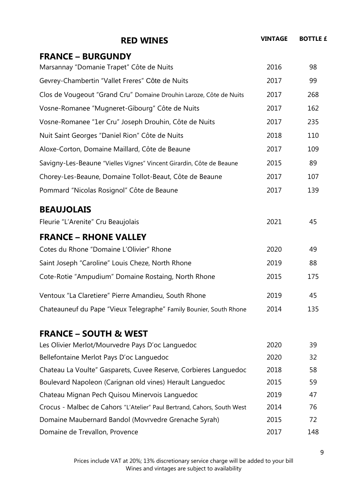| <b>RED WINES</b>                                                        | <b>VINTAGE</b> | <b>BOTTLE £</b> |
|-------------------------------------------------------------------------|----------------|-----------------|
| <b>FRANCE - BURGUNDY</b>                                                |                |                 |
| Marsannay "Domanie Trapet" Côte de Nuits                                | 2016           | 98              |
| Gevrey-Chambertin "Vallet Freres" Côte de Nuits                         | 2017           | 99              |
| Clos de Vougeout "Grand Cru" Domaine Drouhin Laroze, Côte de Nuits      | 2017           | 268             |
| Vosne-Romanee "Mugneret-Gibourg" Côte de Nuits                          | 2017           | 162             |
| Vosne-Romanee "1er Cru" Joseph Drouhin, Côte de Nuits                   | 2017           | 235             |
| Nuit Saint Georges "Daniel Rion" Côte de Nuits                          | 2018           | 110             |
| Aloxe-Corton, Domaine Maillard, Côte de Beaune                          | 2017           | 109             |
| Savigny-Les-Beaune "Vielles Vignes" Vincent Girardin, Côte de Beaune    | 2015           | 89              |
| Chorey-Les-Beaune, Domaine Tollot-Beaut, Côte de Beaune                 | 2017           | 107             |
| Pommard "Nicolas Rosignol" Côte de Beaune                               | 2017           | 139             |
| <b>BEAUJOLAIS</b>                                                       |                |                 |
| Fleurie "L'Arenite" Cru Beaujolais                                      | 2021           | 45              |
| <b>FRANCE - RHONE VALLEY</b>                                            |                |                 |
| Cotes du Rhone "Domaine L'Olivier" Rhone                                | 2020           | 49              |
| Saint Joseph "Caroline" Louis Cheze, North Rhone                        | 2019           | 88              |
| Cote-Rotie "Ampudium" Domaine Rostaing, North Rhone                     | 2015           | 175             |
| Ventoux "La Claretiere" Pierre Amandieu, South Rhone                    | 2019           | 45              |
| Chateauneuf du Pape "Vieux Telegraphe" Family Bounier, South Rhone      | 2014           | 135             |
| <b>FRANCE - SOUTH &amp; WEST</b>                                        |                |                 |
| Les Olivier Merlot/Mourvedre Pays D'oc Languedoc                        | 2020           | 39              |
| Bellefontaine Merlot Pays D'oc Languedoc                                | 2020           | 32              |
| Chateau La Voulte" Gasparets, Cuvee Reserve, Corbieres Languedoc        | 2018           | 58              |
| Boulevard Napoleon (Carignan old vines) Herault Languedoc               | 2015           | 59              |
| Chateau Mignan Pech Quisou Minervois Languedoc                          | 2019           | 47              |
| Crocus - Malbec de Cahors "L'Atelier" Paul Bertrand, Cahors, South West | 2014           | 76              |
| Domaine Maubernard Bandol (Movrvedre Grenache Syrah)                    | 2015           | 72              |
| Domaine de Trevallon, Provence                                          | 2017           | 148             |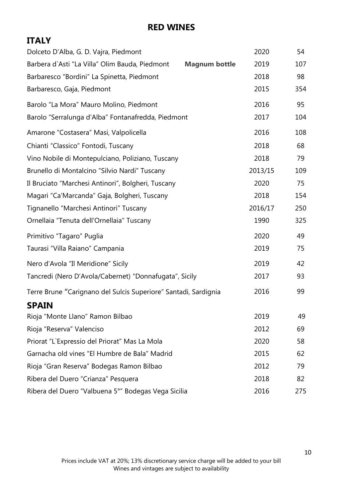## **ITALY**

| Dolceto D'Alba, G. D. Vajra, Piedmont                                  | 2020    | 54  |  |
|------------------------------------------------------------------------|---------|-----|--|
| Barbera d'Asti "La Villa" Olim Bauda, Piedmont<br><b>Magnum bottle</b> | 2019    | 107 |  |
| Barbaresco "Bordini" La Spinetta, Piedmont                             | 2018    | 98  |  |
| Barbaresco, Gaja, Piedmont                                             | 2015    | 354 |  |
| Barolo "La Mora" Mauro Molino, Piedmont                                | 2016    | 95  |  |
| Barolo "Serralunga d'Alba" Fontanafredda, Piedmont                     | 2017    | 104 |  |
| Amarone "Costasera" Masi, Valpolicella                                 | 2016    | 108 |  |
| Chianti "Classico" Fontodi, Tuscany                                    | 2018    | 68  |  |
| Vino Nobile di Montepulciano, Poliziano, Tuscany                       | 2018    | 79  |  |
| Brunello di Montalcino "Silvio Nardi" Tuscany                          | 2013/15 | 109 |  |
| Il Bruciato "Marchesi Antinori", Bolgheri, Tuscany                     | 2020    | 75  |  |
| Magari "Ca'Marcanda" Gaja, Bolgheri, Tuscany                           | 2018    | 154 |  |
| Tignanello "Marchesi Antinori" Tuscany                                 | 2016/17 | 250 |  |
| Ornellaia "Tenuta dell'Ornellaia" Tuscany                              | 1990    | 325 |  |
| Primitivo "Tagaro" Puglia                                              | 2020    | 49  |  |
| Taurasi "Villa Raiano" Campania                                        | 2019    | 75  |  |
| Nero d'Avola "Il Meridione" Sicily                                     | 2019    | 42  |  |
| Tancredi (Nero D'Avola/Cabernet) "Donnafugata", Sicily                 | 2017    | 93  |  |
| Terre Brune "Carignano del Sulcis Superiore" Santadi, Sardignia        | 2016    | 99  |  |
| <b>SPAIN</b>                                                           |         |     |  |
| Rioja "Monte Llano" Ramon Bilbao                                       | 2019    | 49  |  |
| Rioja "Reserva" Valenciso                                              | 2012    | 69  |  |
| Priorat "L'Expressio del Priorat" Mas La Mola                          | 2020    | 58  |  |
| Garnacha old vines "El Humbre de Bala" Madrid                          | 2015    | 62  |  |
| Rioja "Gran Reserva" Bodegas Ramon Bilbao                              | 2012    | 79  |  |
| Ribera del Duero "Crianza" Pesquera                                    | 2018    | 82  |  |
| Ribera del Duero "Valbuena 5°" Bodegas Vega Sicilia                    | 2016    | 275 |  |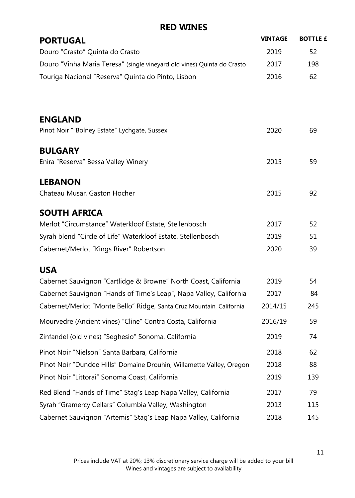| <b>PORTUGAL</b>                                                         | <b>VINTAGE</b> | <b>BOTTLE £</b> |
|-------------------------------------------------------------------------|----------------|-----------------|
| Douro "Crasto" Quinta do Crasto                                         | 2019           | 52              |
| Douro "Vinha Maria Teresa" (single vineyard old vines) Quinta do Crasto | 2017           | 198             |
| Touriga Nacional "Reserva" Quinta do Pinto, Lisbon                      | 2016           | 62              |
| <b>ENGLAND</b>                                                          |                |                 |
| Pinot Noir ""Bolney Estate" Lychgate, Sussex                            | 2020           | 69              |
| <b>BULGARY</b>                                                          |                |                 |
| Enira "Reserva" Bessa Valley Winery                                     | 2015           | 59              |
| <b>LEBANON</b>                                                          |                |                 |
| Chateau Musar, Gaston Hocher                                            | 2015           | 92              |
| <b>SOUTH AFRICA</b>                                                     |                |                 |
| Merlot "Circumstance" Waterkloof Estate, Stellenbosch                   | 2017           | 52              |
| Syrah blend "Circle of Life" Waterkloof Estate, Stellenbosch            | 2019           | 51              |
| Cabernet/Merlot "Kings River" Robertson                                 | 2020           | 39              |
| <b>USA</b>                                                              |                |                 |
| Cabernet Sauvignon "Cartlidge & Browne" North Coast, California         | 2019           | 54              |
| Cabernet Sauvignon "Hands of Time's Leap", Napa Valley, California      | 2017           | 84              |
| Cabernet/Merlot "Monte Bello" Ridge, Santa Cruz Mountain, California    | 2014/15        | 245             |
| Mourvedre (Ancient vines) "Cline" Contra Costa, California              | 2016/19        | 59              |
| Zinfandel (old vines) "Seghesio" Sonoma, California                     | 2019           | 74              |
| Pinot Noir "Nielson" Santa Barbara, California                          | 2018           | 62              |
| Pinot Noir "Dundee Hills" Domaine Drouhin, Willamette Valley, Oregon    | 2018           | 88              |
| Pinot Noir "Littorai" Sonoma Coast, California                          | 2019           | 139             |
| Red Blend "Hands of Time" Stag's Leap Napa Valley, California           | 2017           | 79              |
| Syrah "Gramercy Cellars" Columbia Valley, Washington                    | 2013           | 115             |
| Cabernet Sauvignon "Artemis" Stag's Leap Napa Valley, California        | 2018           | 145             |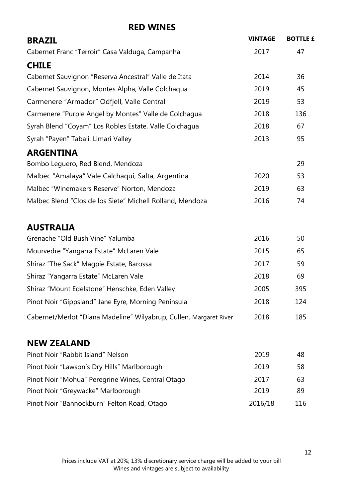| <b>BRAZIL</b>                                                      | <b>VINTAGE</b> | <b>BOTTLE £</b> |
|--------------------------------------------------------------------|----------------|-----------------|
| Cabernet Franc "Terroir" Casa Valduga, Campanha                    | 2017           | 47              |
| <b>CHILE</b>                                                       |                |                 |
| Cabernet Sauvignon "Reserva Ancestral" Valle de Itata              | 2014           | 36              |
| Cabernet Sauvignon, Montes Alpha, Valle Colchaqua                  | 2019           | 45              |
| Carmenere "Armador" Odfjell, Valle Central                         | 2019           | 53              |
| Carmenere "Purple Angel by Montes" Valle de Colchagua              | 2018           | 136             |
| Syrah Blend "Coyam" Los Robles Estate, Valle Colchagua             | 2018           | 67              |
| Syrah "Payen" Tabali, Limari Valley                                | 2013           | 95              |
| <b>ARGENTINA</b>                                                   |                |                 |
| Bombo Leguero, Red Blend, Mendoza                                  |                | 29              |
| Malbec "Amalaya" Vale Calchaqui, Salta, Argentina                  | 2020           | 53              |
| Malbec "Winemakers Reserve" Norton, Mendoza                        | 2019           | 63              |
| Malbec Blend "Clos de los Siete" Michell Rolland, Mendoza          | 2016           | 74              |
| <b>AUSTRALIA</b>                                                   |                |                 |
| Grenache "Old Bush Vine" Yalumba                                   | 2016           | 50              |
| Mourvedre "Yangarra Estate" McLaren Vale                           | 2015           | 65              |
| Shiraz "The Sack" Magpie Estate, Barossa                           | 2017           | 59              |
| Shiraz "Yangarra Estate" McLaren Vale                              | 2018           | 69              |
| Shiraz "Mount Edelstone" Henschke, Eden Valley                     | 2005           | 395             |
| Pinot Noir "Gippsland" Jane Eyre, Morning Peninsula                | 2018           | 124             |
| Cabernet/Merlot "Diana Madeline" Wilyabrup, Cullen, Margaret River | 2018           | 185             |
| <b>NEW ZEALAND</b>                                                 |                |                 |
| Pinot Noir "Rabbit Island" Nelson                                  | 2019           | 48              |
| Pinot Noir "Lawson's Dry Hills" Marlborough                        | 2019           | 58              |
| Pinot Noir "Mohua" Peregrine Wines, Central Otago                  | 2017           | 63              |
| Pinot Noir "Greywacke" Marlborough                                 | 2019           | 89              |
| Pinot Noir "Bannockburn" Felton Road, Otago                        | 2016/18        | 116             |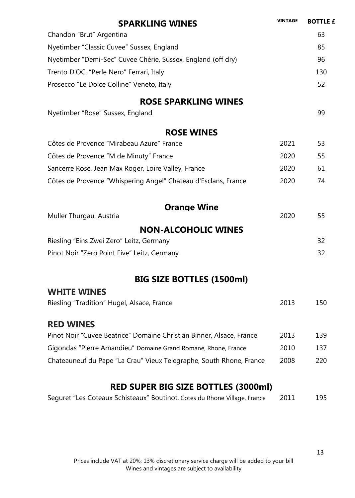| <b>SPARKLING WINES</b>                                               | <b>VINTAGE</b> | <b>BOTTLE £</b> |
|----------------------------------------------------------------------|----------------|-----------------|
| Chandon "Brut" Argentina                                             |                | 63              |
| Nyetimber "Classic Cuvee" Sussex, England                            |                | 85              |
| Nyetimber "Demi-Sec" Cuvee Chérie, Sussex, England (off dry)         |                | 96              |
| Trento D.OC. "Perle Nero" Ferrari, Italy                             |                | 130             |
| Prosecco "Le Dolce Colline" Veneto, Italy                            |                | 52              |
| <b>ROSE SPARKLING WINES</b>                                          |                |                 |
| Nyetimber "Rose" Sussex, England                                     |                | 99              |
| <b>ROSE WINES</b>                                                    |                |                 |
| Côtes de Provence "Mirabeau Azure" France                            | 2021           | 53              |
| Côtes de Provence "M de Minuty" France                               | 2020           | 55              |
| Sancerre Rose, Jean Max Roger, Loire Valley, France                  | 2020           | 61              |
| Côtes de Provence "Whispering Angel" Chateau d'Esclans, France       | 2020           | 74              |
| <b>Orange Wine</b>                                                   |                |                 |
| Muller Thurgau, Austria                                              | 2020           | 55              |
| <b>NON-ALCOHOLIC WINES</b>                                           |                |                 |
| Riesling "Eins Zwei Zero" Leitz, Germany                             |                | 32              |
| Pinot Noir "Zero Point Five" Leitz, Germany                          |                | 32              |
| <b>BIG SIZE BOTTLES (1500ml)</b>                                     |                |                 |
| <b>WHITE WINES</b>                                                   |                |                 |
| Riesling "Tradition" Hugel, Alsace, France                           | 2013           | 150             |
| <b>RED WINES</b>                                                     |                |                 |
| Pinot Noir "Cuvee Beatrice" Domaine Christian Binner, Alsace, France | 2013           | 139             |
| Gigondas "Pierre Amandieu" Domaine Grand Romane, Rhone, France       | 2010           | 137             |
| Chateauneuf du Pape "La Crau" Vieux Telegraphe, South Rhone, France  | 2008           | 220             |
| <b>RED SUPER BIG SIZE BOTTLES (3000ml)</b>                           |                |                 |

#### Seguret "Les Coteaux Schisteaux" Boutinot, Cotes du Rhone Village, France 2011 195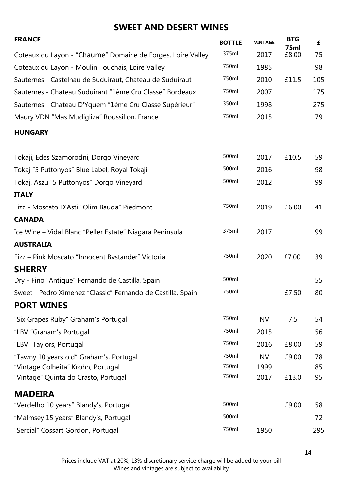## **SWEET AND DESERT WINES**

| <b>FRANCE</b>                                               | <b>BOTTLE</b> | <b>VINTAGE</b> | <b>BTG</b><br>75ml | £   |
|-------------------------------------------------------------|---------------|----------------|--------------------|-----|
| Coteaux du Layon - "Chaume" Domaine de Forges, Loire Valley | 375ml         | 2017           | £8.00              | 75  |
| Coteaux du Layon - Moulin Touchais, Loire Valley            | 750ml         | 1985           |                    | 98  |
| Sauternes - Castelnau de Suduiraut, Chateau de Suduiraut    | 750ml         | 2010           | £11.5              | 105 |
| Sauternes - Chateau Suduirant "1ème Cru Classé" Bordeaux    | 750ml         | 2007           |                    | 175 |
| Sauternes - Chateau D'Yquem "1ème Cru Classé Supérieur"     | 350ml         | 1998           |                    | 275 |
| Maury VDN "Mas Mudigliza" Roussillon, France                | 750ml         | 2015           |                    | 79  |
| <b>HUNGARY</b>                                              |               |                |                    |     |
| Tokaji, Edes Szamorodni, Dorgo Vineyard                     | 500ml         | 2017           | £10.5              | 59  |
| Tokaj "5 Puttonyos" Blue Label, Royal Tokaji                | 500ml         | 2016           |                    | 98  |
| Tokaj, Aszu "5 Puttonyos" Dorgo Vineyard                    | 500ml         | 2012           |                    | 99  |
| <b>ITALY</b>                                                |               |                |                    |     |
| Fizz - Moscato D'Asti "Olim Bauda" Piedmont                 | 750ml         | 2019           | £6.00              | 41  |
| <b>CANADA</b>                                               |               |                |                    |     |
| Ice Wine - Vidal Blanc "Peller Estate" Niagara Peninsula    | 375ml         | 2017           |                    | 99  |
| <b>AUSTRALIA</b>                                            |               |                |                    |     |
| Fizz - Pink Moscato "Innocent Bystander" Victoria           | 750ml         | 2020           | £7.00              | 39  |
| <b>SHERRY</b>                                               |               |                |                    |     |
| Dry - Fino "Antique" Fernando de Castilla, Spain            | 500ml         |                |                    | 55  |
| Sweet - Pedro Ximenez "Classic" Fernando de Castilla, Spain | 750ml         |                | £7.50              | 80  |
| <b>PORT WINES</b>                                           |               |                |                    |     |
| "Six Grapes Ruby" Graham's Portugal                         | 750ml         | <b>NV</b>      | 7.5                | 54  |
| "LBV "Graham's Portugal                                     | 750ml         | 2015           |                    | 56  |
| "LBV" Taylors, Portugal                                     | 750ml         | 2016           | £8.00              | 59  |
| "Tawny 10 years old" Graham's, Portugal                     | 750ml         | <b>NV</b>      | £9.00              | 78  |
| "Vintage Colheita" Krohn, Portugal                          | 750ml         | 1999           |                    | 85  |
| "Vintage" Quinta do Crasto, Portugal                        | 750ml         | 2017           | £13.0              | 95  |
| <b>MADEIRA</b>                                              |               |                |                    |     |
| "Verdelho 10 years" Blandy's, Portugal                      | 500ml         |                | £9.00              | 58  |
| "Malmsey 15 years" Blandy's, Portugal                       | 500ml         |                |                    | 72  |
| "Sercial" Cossart Gordon, Portugal                          | 750ml         | 1950           |                    | 295 |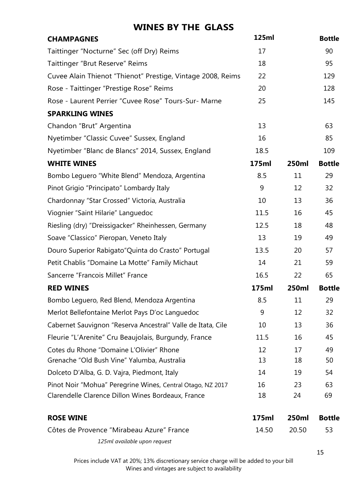#### **WINES BY THE GLASS**

| <b>CHAMPAGNES</b>                                           | 125ml |              | <b>Bottle</b> |
|-------------------------------------------------------------|-------|--------------|---------------|
| Taittinger "Nocturne" Sec (off Dry) Reims                   | 17    |              | 90            |
| Taittinger "Brut Reserve" Reims                             | 18    |              | 95            |
| Cuvee Alain Thienot "Thienot" Prestige, Vintage 2008, Reims | 22    |              | 129           |
| Rose - Taittinger "Prestige Rose" Reims                     | 20    |              | 128           |
| Rose - Laurent Perrier "Cuvee Rose" Tours-Sur- Marne        | 25    |              | 145           |
| <b>SPARKLING WINES</b>                                      |       |              |               |
| Chandon "Brut" Argentina                                    | 13    |              | 63            |
| Nyetimber "Classic Cuvee" Sussex, England                   | 16    |              | 85            |
| Nyetimber "Blanc de Blancs" 2014, Sussex, England           | 18.5  |              | 109           |
| <b>WHITE WINES</b>                                          | 175ml | <b>250ml</b> | <b>Bottle</b> |
| Bombo Leguero "White Blend" Mendoza, Argentina              | 8.5   | 11           | 29            |
| Pinot Grigio "Principato" Lombardy Italy                    | 9     | 12           | 32            |
| Chardonnay "Star Crossed" Victoria, Australia               | 10    | 13           | 36            |
| Viognier "Saint Hilarie" Languedoc                          | 11.5  | 16           | 45            |
| Riesling (dry) "Dreissigacker" Rheinhessen, Germany         | 12.5  | 18           | 48            |
| Soave "Classico" Pieropan, Veneto Italy                     | 13    | 19           | 49            |
| Douro Superior Rabigato" Quinta do Crasto" Portugal         | 13.5  | 20           | 57            |
| Petit Chablis "Domaine La Motte" Family Michaut             | 14    | 21           | 59            |
| Sancerre "Francois Millet" France                           | 16.5  | 22           | 65            |
| <b>RED WINES</b>                                            | 175ml | 250ml        | <b>Bottle</b> |
| Bombo Leguero, Red Blend, Mendoza Argentina                 | 8.5   | 11           | 29            |
| Merlot Bellefontaine Merlot Pays D'oc Languedoc             | 9     | 12           | 32            |
| Cabernet Sauvignon "Reserva Ancestral" Valle de Itata, Cile | 10    | 13           | 36            |
| Fleurie "L'Arenite" Cru Beaujolais, Burgundy, France        | 11.5  | 16           | 45            |
| Cotes du Rhone "Domaine L'Olivier" Rhone                    | 12    | 17           | 49            |
| Grenache "Old Bush Vine" Yalumba, Australia                 | 13    | 18           | 50            |
| Dolceto D'Alba, G. D. Vajra, Piedmont, Italy                | 14    | 19           | 54            |
| Pinot Noir "Mohua" Peregrine Wines, Central Otago, NZ 2017  | 16    | 23           | 63            |
| Clarendelle Clarence Dillon Wines Bordeaux, France          | 18    | 24           | 69            |

| <b>ROSE WINE</b>                          | 175ml  | 250ml  | Bottle |
|-------------------------------------------|--------|--------|--------|
| Côtes de Provence "Mirabeau Azure" France | 14 50. | -20.50 | - 53   |
| 125ml available upon request              |        |        |        |

Prices include VAT at 20%; 13% discretionary service charge will be added to your bill Wines and vintages are subject to availability